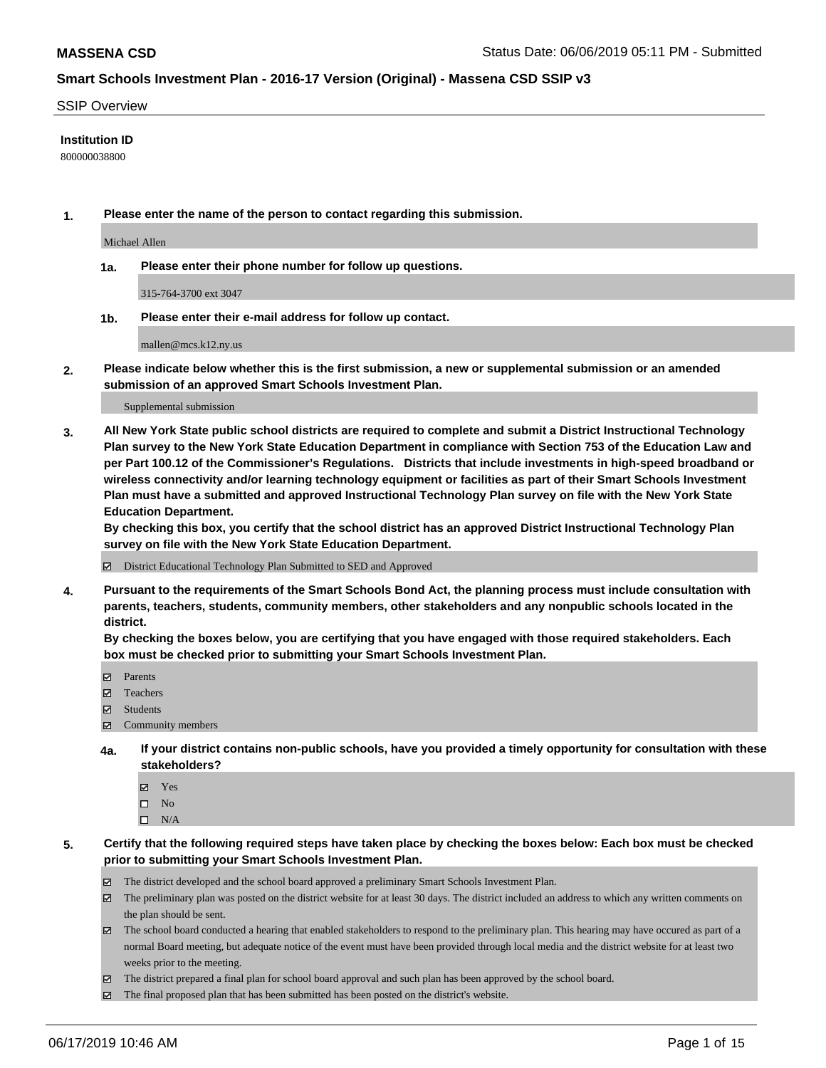#### SSIP Overview

#### **Institution ID**

800000038800

**1. Please enter the name of the person to contact regarding this submission.**

Michael Allen

**1a. Please enter their phone number for follow up questions.**

315-764-3700 ext 3047

**1b. Please enter their e-mail address for follow up contact.**

mallen@mcs.k12.ny.us

**2. Please indicate below whether this is the first submission, a new or supplemental submission or an amended submission of an approved Smart Schools Investment Plan.**

#### Supplemental submission

**3. All New York State public school districts are required to complete and submit a District Instructional Technology Plan survey to the New York State Education Department in compliance with Section 753 of the Education Law and per Part 100.12 of the Commissioner's Regulations. Districts that include investments in high-speed broadband or wireless connectivity and/or learning technology equipment or facilities as part of their Smart Schools Investment Plan must have a submitted and approved Instructional Technology Plan survey on file with the New York State Education Department.** 

**By checking this box, you certify that the school district has an approved District Instructional Technology Plan survey on file with the New York State Education Department.**

District Educational Technology Plan Submitted to SED and Approved

**4. Pursuant to the requirements of the Smart Schools Bond Act, the planning process must include consultation with parents, teachers, students, community members, other stakeholders and any nonpublic schools located in the district.** 

**By checking the boxes below, you are certifying that you have engaged with those required stakeholders. Each box must be checked prior to submitting your Smart Schools Investment Plan.**

- Parents
- Teachers
- Students
- $\Xi$  Community members
- **4a. If your district contains non-public schools, have you provided a timely opportunity for consultation with these stakeholders?**
	- Yes
	- $\square$  No
	- $\square$  N/A
- **5. Certify that the following required steps have taken place by checking the boxes below: Each box must be checked prior to submitting your Smart Schools Investment Plan.**
	- The district developed and the school board approved a preliminary Smart Schools Investment Plan.
	- $\boxtimes$  The preliminary plan was posted on the district website for at least 30 days. The district included an address to which any written comments on the plan should be sent.
	- $\boxtimes$  The school board conducted a hearing that enabled stakeholders to respond to the preliminary plan. This hearing may have occured as part of a normal Board meeting, but adequate notice of the event must have been provided through local media and the district website for at least two weeks prior to the meeting.
	- The district prepared a final plan for school board approval and such plan has been approved by the school board.
	- $\boxtimes$  The final proposed plan that has been submitted has been posted on the district's website.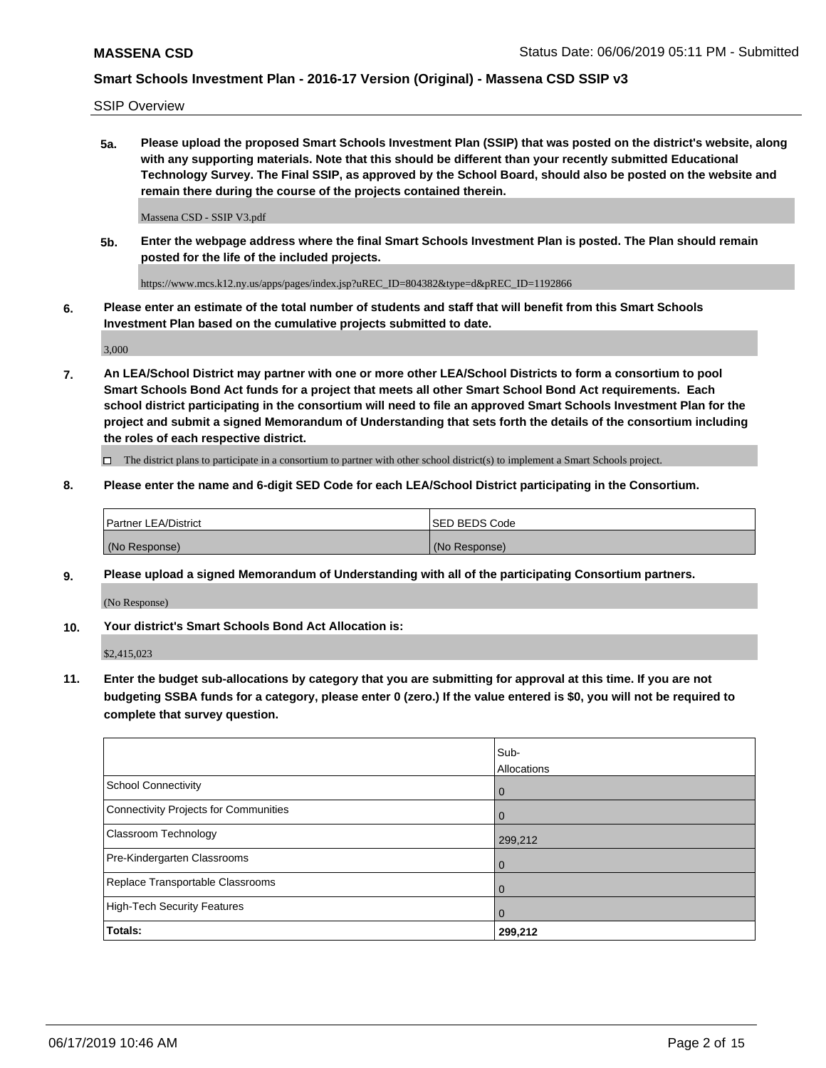SSIP Overview

**5a. Please upload the proposed Smart Schools Investment Plan (SSIP) that was posted on the district's website, along with any supporting materials. Note that this should be different than your recently submitted Educational Technology Survey. The Final SSIP, as approved by the School Board, should also be posted on the website and remain there during the course of the projects contained therein.**

Massena CSD - SSIP V3.pdf

**5b. Enter the webpage address where the final Smart Schools Investment Plan is posted. The Plan should remain posted for the life of the included projects.**

https://www.mcs.k12.ny.us/apps/pages/index.jsp?uREC\_ID=804382&type=d&pREC\_ID=1192866

**6. Please enter an estimate of the total number of students and staff that will benefit from this Smart Schools Investment Plan based on the cumulative projects submitted to date.**

3,000

**7. An LEA/School District may partner with one or more other LEA/School Districts to form a consortium to pool Smart Schools Bond Act funds for a project that meets all other Smart School Bond Act requirements. Each school district participating in the consortium will need to file an approved Smart Schools Investment Plan for the project and submit a signed Memorandum of Understanding that sets forth the details of the consortium including the roles of each respective district.**

 $\Box$  The district plans to participate in a consortium to partner with other school district(s) to implement a Smart Schools project.

#### **8. Please enter the name and 6-digit SED Code for each LEA/School District participating in the Consortium.**

| Partner LEA/District | <b>ISED BEDS Code</b> |
|----------------------|-----------------------|
| (No Response)        | (No Response)         |

#### **9. Please upload a signed Memorandum of Understanding with all of the participating Consortium partners.**

(No Response)

**10. Your district's Smart Schools Bond Act Allocation is:**

\$2,415,023

**11. Enter the budget sub-allocations by category that you are submitting for approval at this time. If you are not budgeting SSBA funds for a category, please enter 0 (zero.) If the value entered is \$0, you will not be required to complete that survey question.**

|                                       | Sub-<br>Allocations |
|---------------------------------------|---------------------|
| School Connectivity                   | $\overline{0}$      |
| Connectivity Projects for Communities | $\Omega$            |
| <b>Classroom Technology</b>           | 299,212             |
| Pre-Kindergarten Classrooms           | $\overline{0}$      |
| Replace Transportable Classrooms      | $\Omega$            |
| High-Tech Security Features           | $\Omega$            |
| Totals:                               | 299,212             |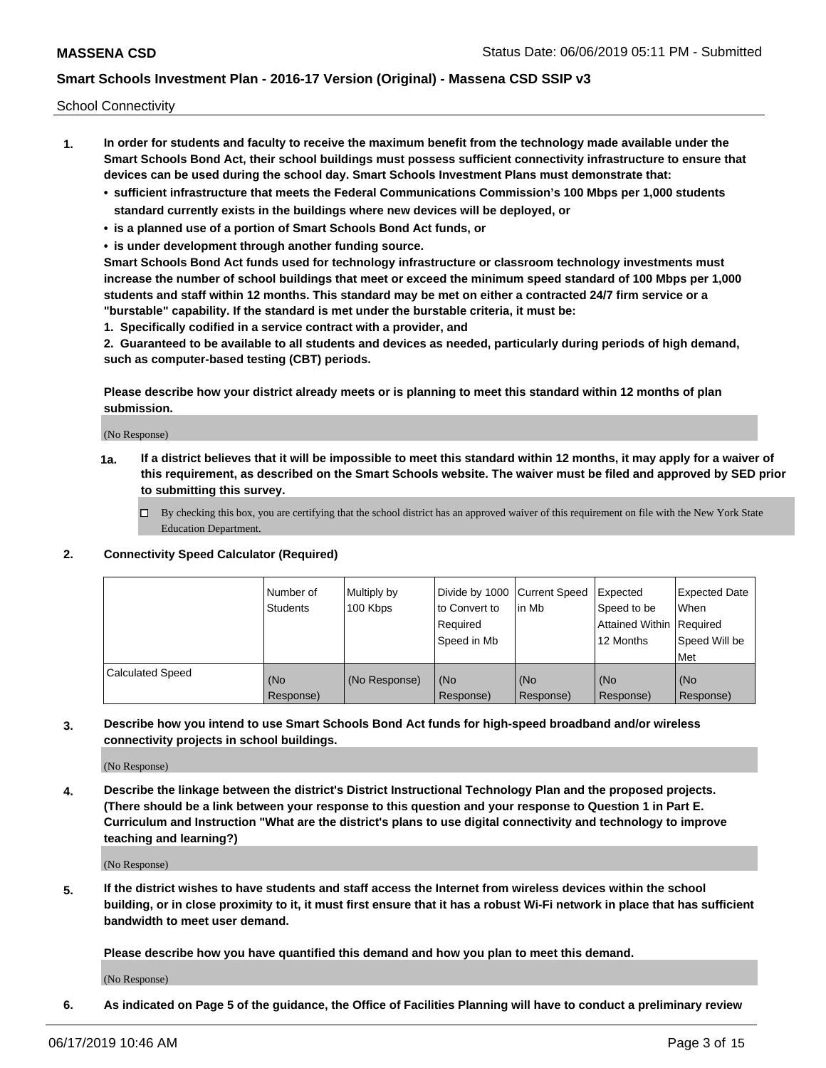School Connectivity

- **1. In order for students and faculty to receive the maximum benefit from the technology made available under the Smart Schools Bond Act, their school buildings must possess sufficient connectivity infrastructure to ensure that devices can be used during the school day. Smart Schools Investment Plans must demonstrate that:**
	- **• sufficient infrastructure that meets the Federal Communications Commission's 100 Mbps per 1,000 students standard currently exists in the buildings where new devices will be deployed, or**
	- **• is a planned use of a portion of Smart Schools Bond Act funds, or**
	- **• is under development through another funding source.**

**Smart Schools Bond Act funds used for technology infrastructure or classroom technology investments must increase the number of school buildings that meet or exceed the minimum speed standard of 100 Mbps per 1,000 students and staff within 12 months. This standard may be met on either a contracted 24/7 firm service or a "burstable" capability. If the standard is met under the burstable criteria, it must be:**

**1. Specifically codified in a service contract with a provider, and**

**2. Guaranteed to be available to all students and devices as needed, particularly during periods of high demand, such as computer-based testing (CBT) periods.**

**Please describe how your district already meets or is planning to meet this standard within 12 months of plan submission.**

(No Response)

**1a. If a district believes that it will be impossible to meet this standard within 12 months, it may apply for a waiver of this requirement, as described on the Smart Schools website. The waiver must be filed and approved by SED prior to submitting this survey.**

 $\Box$  By checking this box, you are certifying that the school district has an approved waiver of this requirement on file with the New York State Education Department.

**2. Connectivity Speed Calculator (Required)**

|                         | l Number of<br><b>Students</b> | Multiply by<br>100 Kbps | Divide by 1000 Current Speed<br>to Convert to<br>Required<br>Speed in Mb | lin Mb           | Expected<br>Speed to be<br>Attained Within   Required<br>12 Months | <b>Expected Date</b><br><b>When</b><br>Speed Will be<br><b>Met</b> |
|-------------------------|--------------------------------|-------------------------|--------------------------------------------------------------------------|------------------|--------------------------------------------------------------------|--------------------------------------------------------------------|
| <b>Calculated Speed</b> | (No<br>Response)               | (No Response)           | (No<br>Response)                                                         | (No<br>Response) | (No<br>Response)                                                   | (No<br>Response)                                                   |

**3. Describe how you intend to use Smart Schools Bond Act funds for high-speed broadband and/or wireless connectivity projects in school buildings.**

(No Response)

**4. Describe the linkage between the district's District Instructional Technology Plan and the proposed projects. (There should be a link between your response to this question and your response to Question 1 in Part E. Curriculum and Instruction "What are the district's plans to use digital connectivity and technology to improve teaching and learning?)**

(No Response)

**5. If the district wishes to have students and staff access the Internet from wireless devices within the school building, or in close proximity to it, it must first ensure that it has a robust Wi-Fi network in place that has sufficient bandwidth to meet user demand.**

**Please describe how you have quantified this demand and how you plan to meet this demand.**

(No Response)

**6. As indicated on Page 5 of the guidance, the Office of Facilities Planning will have to conduct a preliminary review**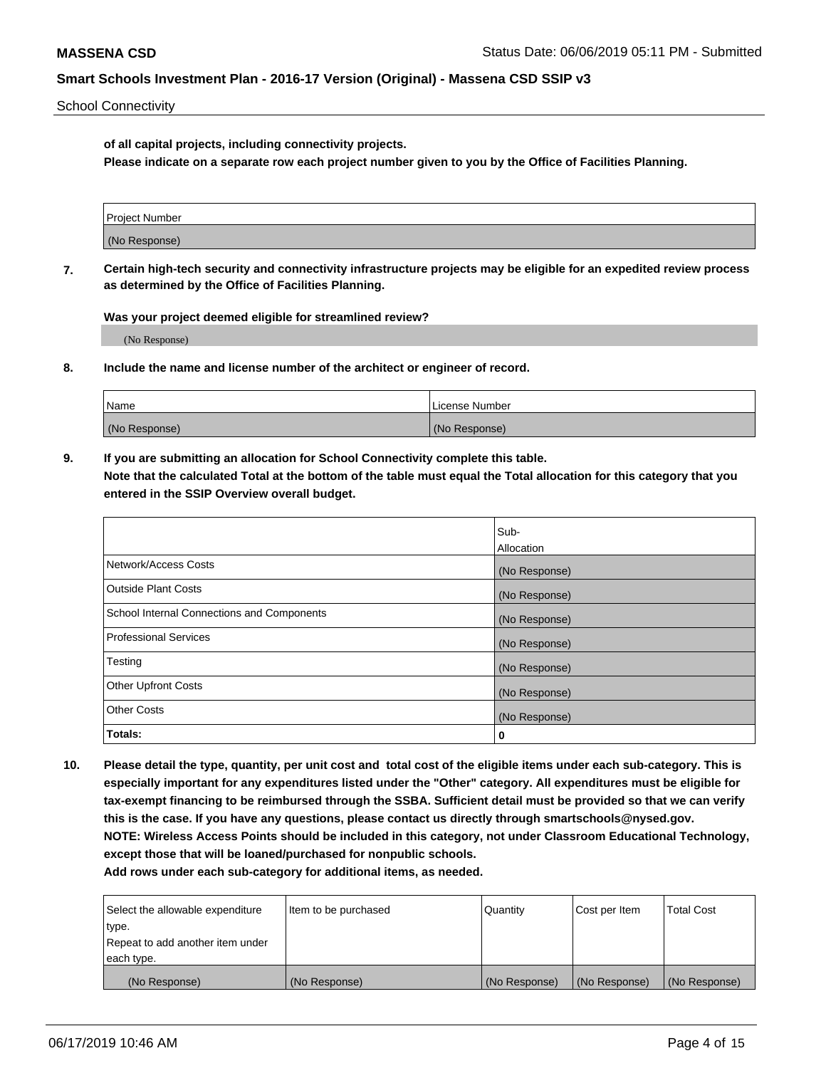School Connectivity

**of all capital projects, including connectivity projects.**

**Please indicate on a separate row each project number given to you by the Office of Facilities Planning.**

| Project Number |  |
|----------------|--|
|                |  |
|                |  |
| (No Response)  |  |
|                |  |

**7. Certain high-tech security and connectivity infrastructure projects may be eligible for an expedited review process as determined by the Office of Facilities Planning.**

**Was your project deemed eligible for streamlined review?**

(No Response)

**8. Include the name and license number of the architect or engineer of record.**

| Name          | License Number |
|---------------|----------------|
| (No Response) | (No Response)  |

**9. If you are submitting an allocation for School Connectivity complete this table. Note that the calculated Total at the bottom of the table must equal the Total allocation for this category that you entered in the SSIP Overview overall budget.** 

|                                            | Sub-              |
|--------------------------------------------|-------------------|
|                                            | <b>Allocation</b> |
| Network/Access Costs                       | (No Response)     |
| <b>Outside Plant Costs</b>                 | (No Response)     |
| School Internal Connections and Components | (No Response)     |
| <b>Professional Services</b>               | (No Response)     |
| Testing                                    | (No Response)     |
| <b>Other Upfront Costs</b>                 | (No Response)     |
| <b>Other Costs</b>                         | (No Response)     |
| Totals:                                    | 0                 |

**10. Please detail the type, quantity, per unit cost and total cost of the eligible items under each sub-category. This is especially important for any expenditures listed under the "Other" category. All expenditures must be eligible for tax-exempt financing to be reimbursed through the SSBA. Sufficient detail must be provided so that we can verify this is the case. If you have any questions, please contact us directly through smartschools@nysed.gov. NOTE: Wireless Access Points should be included in this category, not under Classroom Educational Technology, except those that will be loaned/purchased for nonpublic schools.**

| Select the allowable expenditure | Item to be purchased | Quantity      | Cost per Item | <b>Total Cost</b> |
|----------------------------------|----------------------|---------------|---------------|-------------------|
| type.                            |                      |               |               |                   |
| Repeat to add another item under |                      |               |               |                   |
| each type.                       |                      |               |               |                   |
| (No Response)                    | (No Response)        | (No Response) | (No Response) | (No Response)     |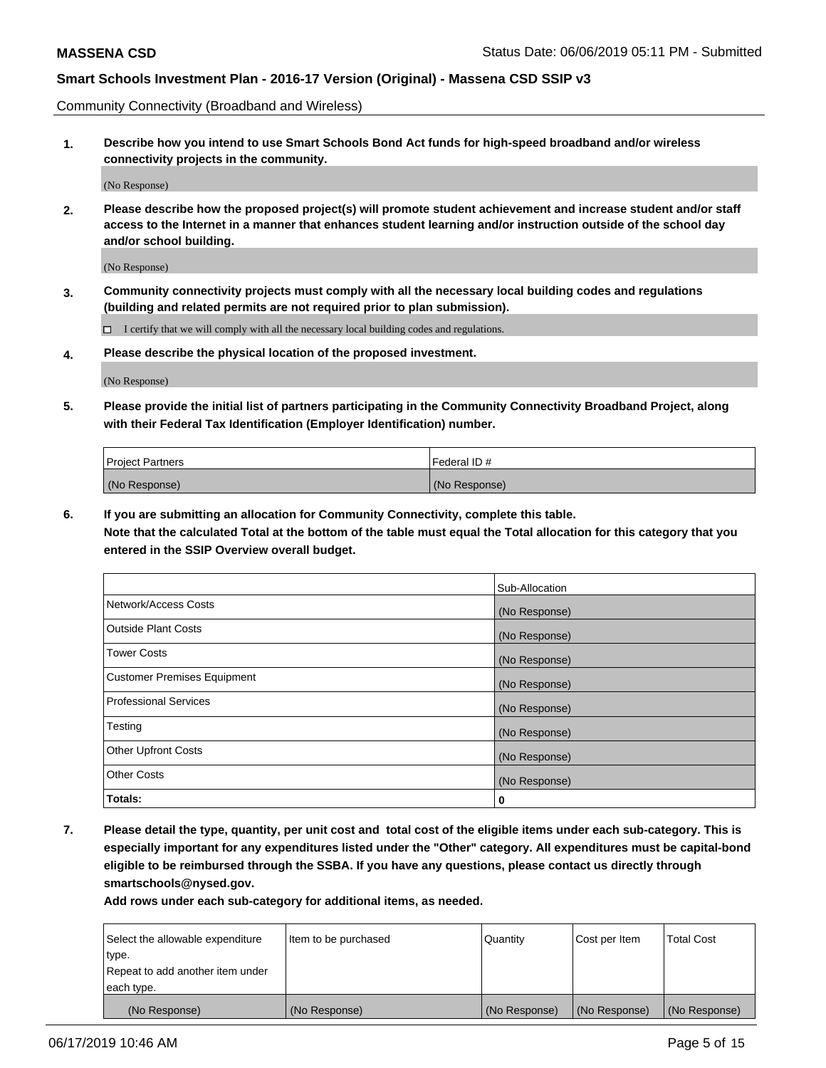Community Connectivity (Broadband and Wireless)

**1. Describe how you intend to use Smart Schools Bond Act funds for high-speed broadband and/or wireless connectivity projects in the community.**

(No Response)

**2. Please describe how the proposed project(s) will promote student achievement and increase student and/or staff access to the Internet in a manner that enhances student learning and/or instruction outside of the school day and/or school building.**

(No Response)

**3. Community connectivity projects must comply with all the necessary local building codes and regulations (building and related permits are not required prior to plan submission).**

 $\Box$  I certify that we will comply with all the necessary local building codes and regulations.

**4. Please describe the physical location of the proposed investment.**

(No Response)

**5. Please provide the initial list of partners participating in the Community Connectivity Broadband Project, along with their Federal Tax Identification (Employer Identification) number.**

| <b>Project Partners</b> | Federal ID#   |
|-------------------------|---------------|
| (No Response)           | (No Response) |

**6. If you are submitting an allocation for Community Connectivity, complete this table.**

**Note that the calculated Total at the bottom of the table must equal the Total allocation for this category that you entered in the SSIP Overview overall budget.**

|                                    | Sub-Allocation |
|------------------------------------|----------------|
| Network/Access Costs               | (No Response)  |
| <b>Outside Plant Costs</b>         | (No Response)  |
| <b>Tower Costs</b>                 | (No Response)  |
| <b>Customer Premises Equipment</b> | (No Response)  |
| <b>Professional Services</b>       | (No Response)  |
| Testing                            | (No Response)  |
| <b>Other Upfront Costs</b>         | (No Response)  |
| <b>Other Costs</b>                 | (No Response)  |
| Totals:                            | 0              |

**7. Please detail the type, quantity, per unit cost and total cost of the eligible items under each sub-category. This is especially important for any expenditures listed under the "Other" category. All expenditures must be capital-bond eligible to be reimbursed through the SSBA. If you have any questions, please contact us directly through smartschools@nysed.gov.**

| Select the allowable expenditure | Item to be purchased | Quantity      | Cost per Item | <b>Total Cost</b> |
|----------------------------------|----------------------|---------------|---------------|-------------------|
| type.                            |                      |               |               |                   |
| Repeat to add another item under |                      |               |               |                   |
| each type.                       |                      |               |               |                   |
| (No Response)                    | (No Response)        | (No Response) | (No Response) | (No Response)     |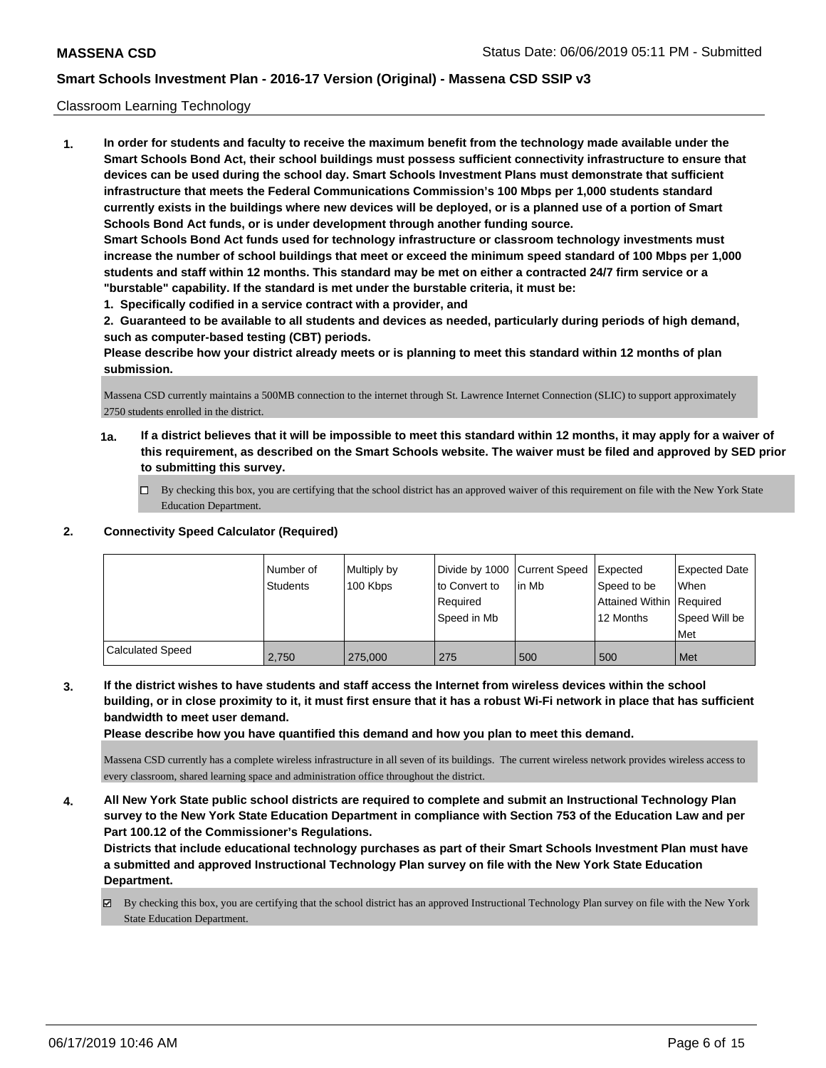#### Classroom Learning Technology

**1. In order for students and faculty to receive the maximum benefit from the technology made available under the Smart Schools Bond Act, their school buildings must possess sufficient connectivity infrastructure to ensure that devices can be used during the school day. Smart Schools Investment Plans must demonstrate that sufficient infrastructure that meets the Federal Communications Commission's 100 Mbps per 1,000 students standard currently exists in the buildings where new devices will be deployed, or is a planned use of a portion of Smart Schools Bond Act funds, or is under development through another funding source. Smart Schools Bond Act funds used for technology infrastructure or classroom technology investments must increase the number of school buildings that meet or exceed the minimum speed standard of 100 Mbps per 1,000 students and staff within 12 months. This standard may be met on either a contracted 24/7 firm service or a "burstable" capability. If the standard is met under the burstable criteria, it must be:**

**1. Specifically codified in a service contract with a provider, and**

**2. Guaranteed to be available to all students and devices as needed, particularly during periods of high demand, such as computer-based testing (CBT) periods.**

**Please describe how your district already meets or is planning to meet this standard within 12 months of plan submission.**

Massena CSD currently maintains a 500MB connection to the internet through St. Lawrence Internet Connection (SLIC) to support approximately 2750 students enrolled in the district.

- **1a. If a district believes that it will be impossible to meet this standard within 12 months, it may apply for a waiver of this requirement, as described on the Smart Schools website. The waiver must be filed and approved by SED prior to submitting this survey.**
	- By checking this box, you are certifying that the school district has an approved waiver of this requirement on file with the New York State Education Department.

## **2. Connectivity Speed Calculator (Required)**

|                         | l Number of<br><b>Students</b> | Multiply by<br>100 Kbps | Divide by 1000 Current Speed<br>to Convert to<br>Required<br>Speed in Mb | lin Mb | Expected<br>Speed to be<br>Attained Within Required<br>12 Months | <b>Expected Date</b><br>When<br>Speed Will be<br>Met |
|-------------------------|--------------------------------|-------------------------|--------------------------------------------------------------------------|--------|------------------------------------------------------------------|------------------------------------------------------|
| <b>Calculated Speed</b> | 2.750                          | 275,000                 | 275                                                                      | 500    | 500                                                              | Met                                                  |

**3. If the district wishes to have students and staff access the Internet from wireless devices within the school building, or in close proximity to it, it must first ensure that it has a robust Wi-Fi network in place that has sufficient bandwidth to meet user demand.**

**Please describe how you have quantified this demand and how you plan to meet this demand.**

Massena CSD currently has a complete wireless infrastructure in all seven of its buildings. The current wireless network provides wireless access to every classroom, shared learning space and administration office throughout the district.

**4. All New York State public school districts are required to complete and submit an Instructional Technology Plan survey to the New York State Education Department in compliance with Section 753 of the Education Law and per Part 100.12 of the Commissioner's Regulations.**

**Districts that include educational technology purchases as part of their Smart Schools Investment Plan must have a submitted and approved Instructional Technology Plan survey on file with the New York State Education Department.**

By checking this box, you are certifying that the school district has an approved Instructional Technology Plan survey on file with the New York State Education Department.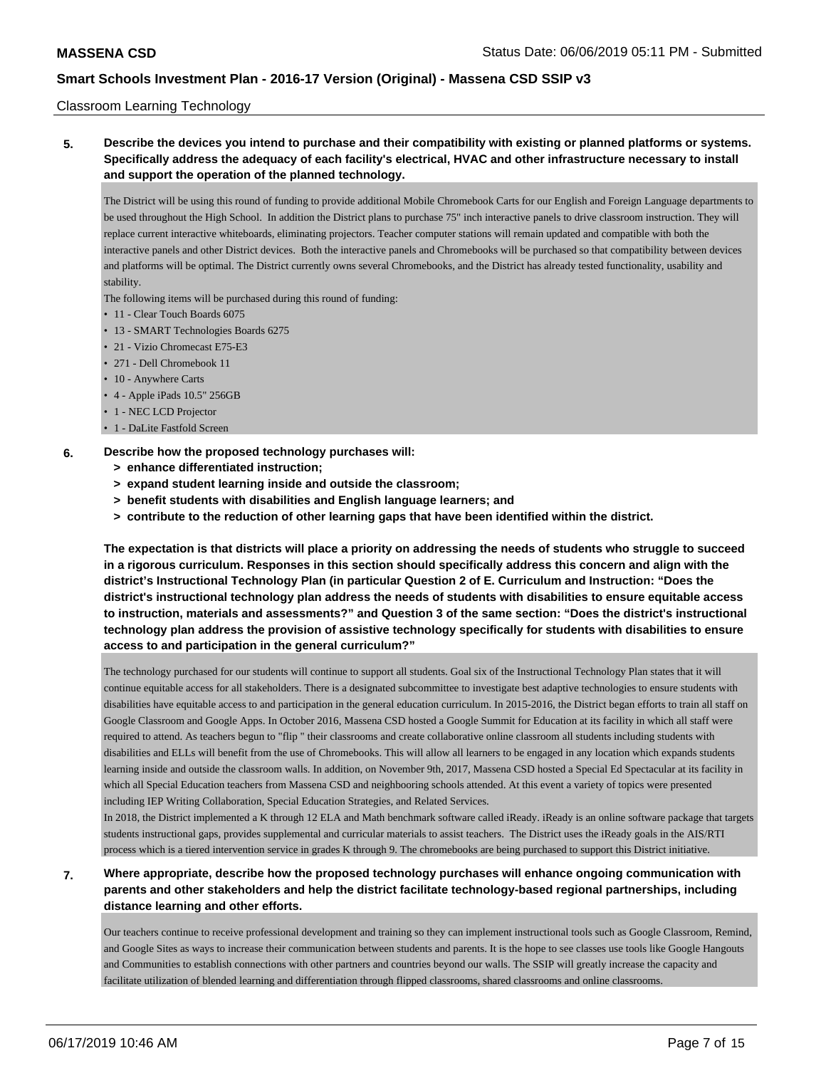Classroom Learning Technology

**5. Describe the devices you intend to purchase and their compatibility with existing or planned platforms or systems. Specifically address the adequacy of each facility's electrical, HVAC and other infrastructure necessary to install and support the operation of the planned technology.**

The District will be using this round of funding to provide additional Mobile Chromebook Carts for our English and Foreign Language departments to be used throughout the High School. In addition the District plans to purchase 75" inch interactive panels to drive classroom instruction. They will replace current interactive whiteboards, eliminating projectors. Teacher computer stations will remain updated and compatible with both the interactive panels and other District devices. Both the interactive panels and Chromebooks will be purchased so that compatibility between devices and platforms will be optimal. The District currently owns several Chromebooks, and the District has already tested functionality, usability and stability.

The following items will be purchased during this round of funding:

- 11 Clear Touch Boards 6075
- 13 SMART Technologies Boards 6275
- 21 Vizio Chromecast E75-E3
- 271 Dell Chromebook 11
- 10 Anywhere Carts
- 4 Apple iPads 10.5" 256GB
- 1 NEC LCD Projector
- 1 DaLite Fastfold Screen

#### **6. Describe how the proposed technology purchases will:**

- **> enhance differentiated instruction;**
- **> expand student learning inside and outside the classroom;**
- **> benefit students with disabilities and English language learners; and**
- **> contribute to the reduction of other learning gaps that have been identified within the district.**

**The expectation is that districts will place a priority on addressing the needs of students who struggle to succeed in a rigorous curriculum. Responses in this section should specifically address this concern and align with the district's Instructional Technology Plan (in particular Question 2 of E. Curriculum and Instruction: "Does the district's instructional technology plan address the needs of students with disabilities to ensure equitable access to instruction, materials and assessments?" and Question 3 of the same section: "Does the district's instructional technology plan address the provision of assistive technology specifically for students with disabilities to ensure access to and participation in the general curriculum?"**

The technology purchased for our students will continue to support all students. Goal six of the Instructional Technology Plan states that it will continue equitable access for all stakeholders. There is a designated subcommittee to investigate best adaptive technologies to ensure students with disabilities have equitable access to and participation in the general education curriculum. In 2015-2016, the District began efforts to train all staff on Google Classroom and Google Apps. In October 2016, Massena CSD hosted a Google Summit for Education at its facility in which all staff were required to attend. As teachers begun to "flip " their classrooms and create collaborative online classroom all students including students with disabilities and ELLs will benefit from the use of Chromebooks. This will allow all learners to be engaged in any location which expands students learning inside and outside the classroom walls. In addition, on November 9th, 2017, Massena CSD hosted a Special Ed Spectacular at its facility in which all Special Education teachers from Massena CSD and neighbooring schools attended. At this event a variety of topics were presented including IEP Writing Collaboration, Special Education Strategies, and Related Services.

In 2018, the District implemented a K through 12 ELA and Math benchmark software called iReady. iReady is an online software package that targets students instructional gaps, provides supplemental and curricular materials to assist teachers. The District uses the iReady goals in the AIS/RTI process which is a tiered intervention service in grades K through 9. The chromebooks are being purchased to support this District initiative.

**7. Where appropriate, describe how the proposed technology purchases will enhance ongoing communication with parents and other stakeholders and help the district facilitate technology-based regional partnerships, including distance learning and other efforts.**

Our teachers continue to receive professional development and training so they can implement instructional tools such as Google Classroom, Remind, and Google Sites as ways to increase their communication between students and parents. It is the hope to see classes use tools like Google Hangouts and Communities to establish connections with other partners and countries beyond our walls. The SSIP will greatly increase the capacity and facilitate utilization of blended learning and differentiation through flipped classrooms, shared classrooms and online classrooms.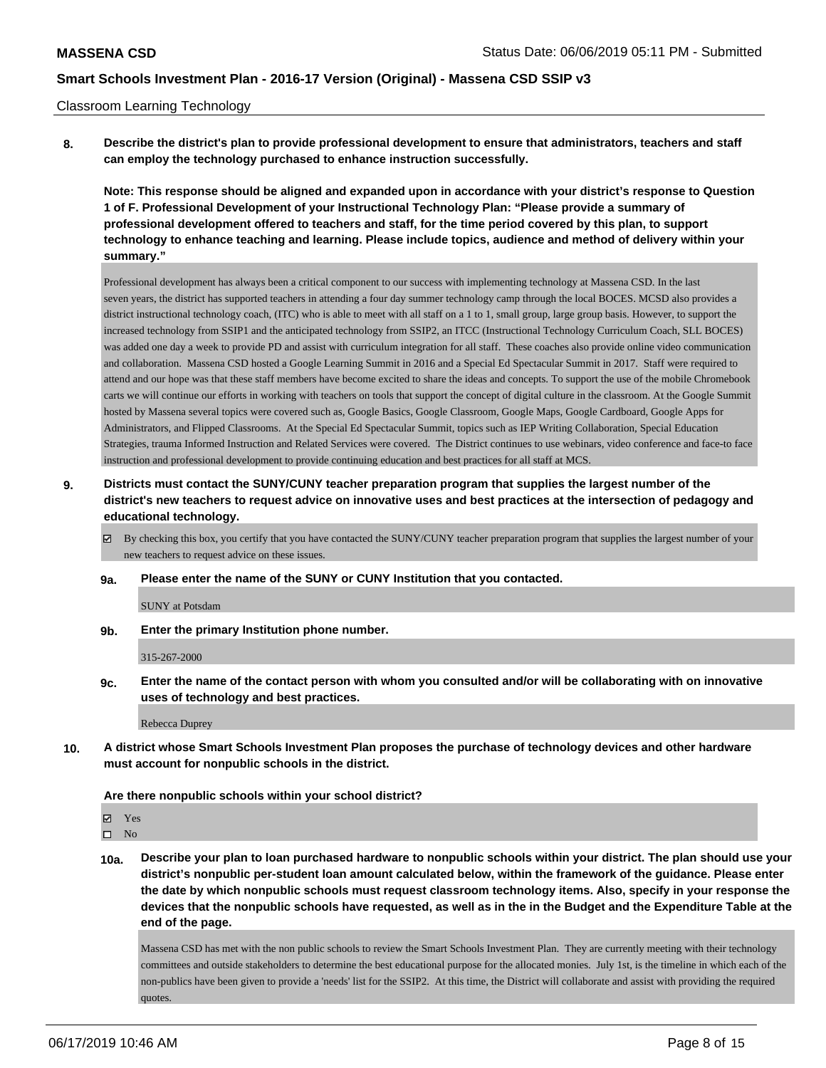#### Classroom Learning Technology

**8. Describe the district's plan to provide professional development to ensure that administrators, teachers and staff can employ the technology purchased to enhance instruction successfully.**

**Note: This response should be aligned and expanded upon in accordance with your district's response to Question 1 of F. Professional Development of your Instructional Technology Plan: "Please provide a summary of professional development offered to teachers and staff, for the time period covered by this plan, to support technology to enhance teaching and learning. Please include topics, audience and method of delivery within your summary."**

Professional development has always been a critical component to our success with implementing technology at Massena CSD. In the last seven years, the district has supported teachers in attending a four day summer technology camp through the local BOCES. MCSD also provides a district instructional technology coach, (ITC) who is able to meet with all staff on a 1 to 1, small group, large group basis. However, to support the increased technology from SSIP1 and the anticipated technology from SSIP2, an ITCC (Instructional Technology Curriculum Coach, SLL BOCES) was added one day a week to provide PD and assist with curriculum integration for all staff. These coaches also provide online video communication and collaboration. Massena CSD hosted a Google Learning Summit in 2016 and a Special Ed Spectacular Summit in 2017. Staff were required to attend and our hope was that these staff members have become excited to share the ideas and concepts. To support the use of the mobile Chromebook carts we will continue our efforts in working with teachers on tools that support the concept of digital culture in the classroom. At the Google Summit hosted by Massena several topics were covered such as, Google Basics, Google Classroom, Google Maps, Google Cardboard, Google Apps for Administrators, and Flipped Classrooms. At the Special Ed Spectacular Summit, topics such as IEP Writing Collaboration, Special Education Strategies, trauma Informed Instruction and Related Services were covered. The District continues to use webinars, video conference and face-to face instruction and professional development to provide continuing education and best practices for all staff at MCS.

- **9. Districts must contact the SUNY/CUNY teacher preparation program that supplies the largest number of the district's new teachers to request advice on innovative uses and best practices at the intersection of pedagogy and educational technology.**
	- By checking this box, you certify that you have contacted the SUNY/CUNY teacher preparation program that supplies the largest number of your new teachers to request advice on these issues.
	- **9a. Please enter the name of the SUNY or CUNY Institution that you contacted.**

SUNY at Potsdam

**9b. Enter the primary Institution phone number.**

315-267-2000

**9c. Enter the name of the contact person with whom you consulted and/or will be collaborating with on innovative uses of technology and best practices.**

Rebecca Duprey

**10. A district whose Smart Schools Investment Plan proposes the purchase of technology devices and other hardware must account for nonpublic schools in the district.**

#### **Are there nonpublic schools within your school district?**

Yes

 $\square$  No

**10a. Describe your plan to loan purchased hardware to nonpublic schools within your district. The plan should use your district's nonpublic per-student loan amount calculated below, within the framework of the guidance. Please enter the date by which nonpublic schools must request classroom technology items. Also, specify in your response the devices that the nonpublic schools have requested, as well as in the in the Budget and the Expenditure Table at the end of the page.**

Massena CSD has met with the non public schools to review the Smart Schools Investment Plan. They are currently meeting with their technology committees and outside stakeholders to determine the best educational purpose for the allocated monies. July 1st, is the timeline in which each of the non-publics have been given to provide a 'needs' list for the SSIP2. At this time, the District will collaborate and assist with providing the required quotes.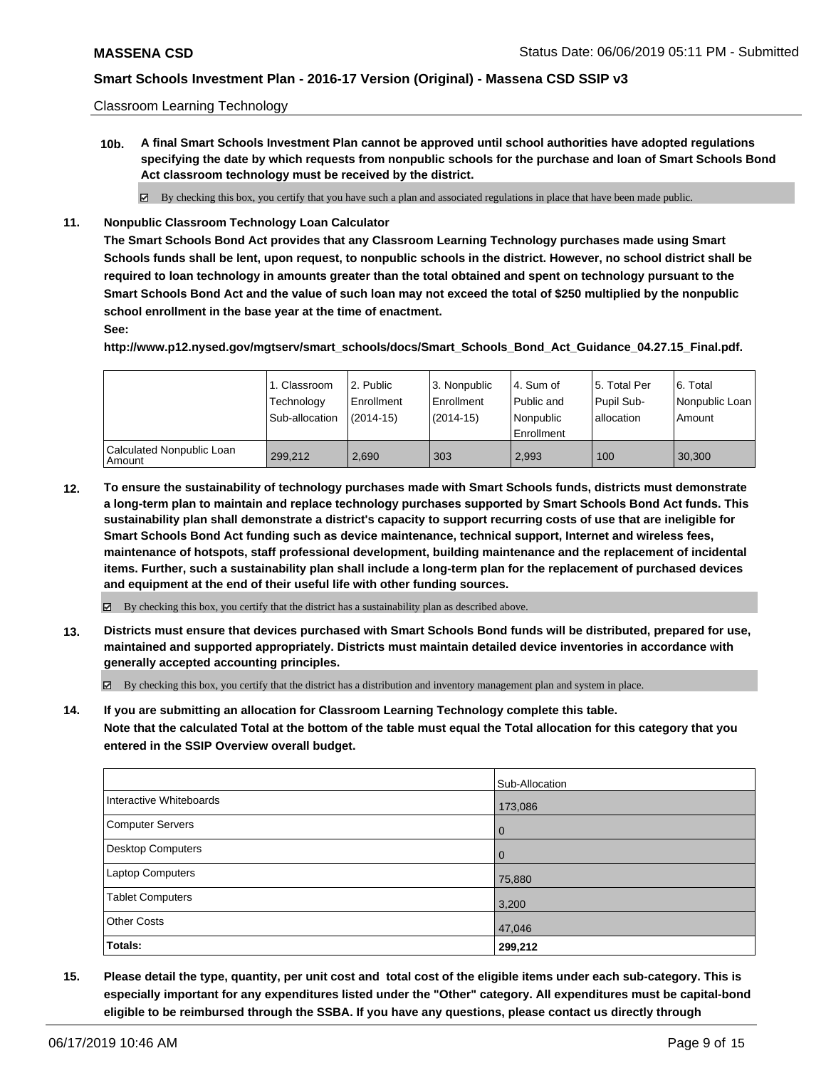Classroom Learning Technology

**10b. A final Smart Schools Investment Plan cannot be approved until school authorities have adopted regulations specifying the date by which requests from nonpublic schools for the purchase and loan of Smart Schools Bond Act classroom technology must be received by the district.**

By checking this box, you certify that you have such a plan and associated regulations in place that have been made public.

**11. Nonpublic Classroom Technology Loan Calculator**

**The Smart Schools Bond Act provides that any Classroom Learning Technology purchases made using Smart Schools funds shall be lent, upon request, to nonpublic schools in the district. However, no school district shall be required to loan technology in amounts greater than the total obtained and spent on technology pursuant to the Smart Schools Bond Act and the value of such loan may not exceed the total of \$250 multiplied by the nonpublic school enrollment in the base year at the time of enactment.**

#### **See:**

**http://www.p12.nysed.gov/mgtserv/smart\_schools/docs/Smart\_Schools\_Bond\_Act\_Guidance\_04.27.15\_Final.pdf.**

|                                       | 1. Classroom<br>Technology<br>Sub-allocation | l 2. Public<br>l Enrollment<br>$(2014 - 15)$ | l 3. Nonpublic<br>Enrollment<br>$(2014-15)$ | l 4. Sum of<br>Public and<br>l Nonpublic<br>Enrollment | 15. Total Per<br>Pupil Sub-<br>allocation | l 6. Total<br>  Nonpublic Loan  <br>l Amount |
|---------------------------------------|----------------------------------------------|----------------------------------------------|---------------------------------------------|--------------------------------------------------------|-------------------------------------------|----------------------------------------------|
| Calculated Nonpublic Loan<br>l Amount | 299.212                                      | 2.690                                        | 303                                         | 2.993                                                  | 100                                       | 30.300                                       |

**12. To ensure the sustainability of technology purchases made with Smart Schools funds, districts must demonstrate a long-term plan to maintain and replace technology purchases supported by Smart Schools Bond Act funds. This sustainability plan shall demonstrate a district's capacity to support recurring costs of use that are ineligible for Smart Schools Bond Act funding such as device maintenance, technical support, Internet and wireless fees, maintenance of hotspots, staff professional development, building maintenance and the replacement of incidental items. Further, such a sustainability plan shall include a long-term plan for the replacement of purchased devices and equipment at the end of their useful life with other funding sources.**

 $\boxtimes$  By checking this box, you certify that the district has a sustainability plan as described above.

**13. Districts must ensure that devices purchased with Smart Schools Bond funds will be distributed, prepared for use, maintained and supported appropriately. Districts must maintain detailed device inventories in accordance with generally accepted accounting principles.**

By checking this box, you certify that the district has a distribution and inventory management plan and system in place.

**14. If you are submitting an allocation for Classroom Learning Technology complete this table. Note that the calculated Total at the bottom of the table must equal the Total allocation for this category that you entered in the SSIP Overview overall budget.**

|                          | Sub-Allocation |
|--------------------------|----------------|
| Interactive Whiteboards  | 173,086        |
| Computer Servers         | l 0            |
| <b>Desktop Computers</b> | l 0            |
| <b>Laptop Computers</b>  | 75,880         |
| <b>Tablet Computers</b>  | 3,200          |
| <b>Other Costs</b>       | 47,046         |
| <b>Totals:</b>           | 299,212        |

**15. Please detail the type, quantity, per unit cost and total cost of the eligible items under each sub-category. This is especially important for any expenditures listed under the "Other" category. All expenditures must be capital-bond eligible to be reimbursed through the SSBA. If you have any questions, please contact us directly through**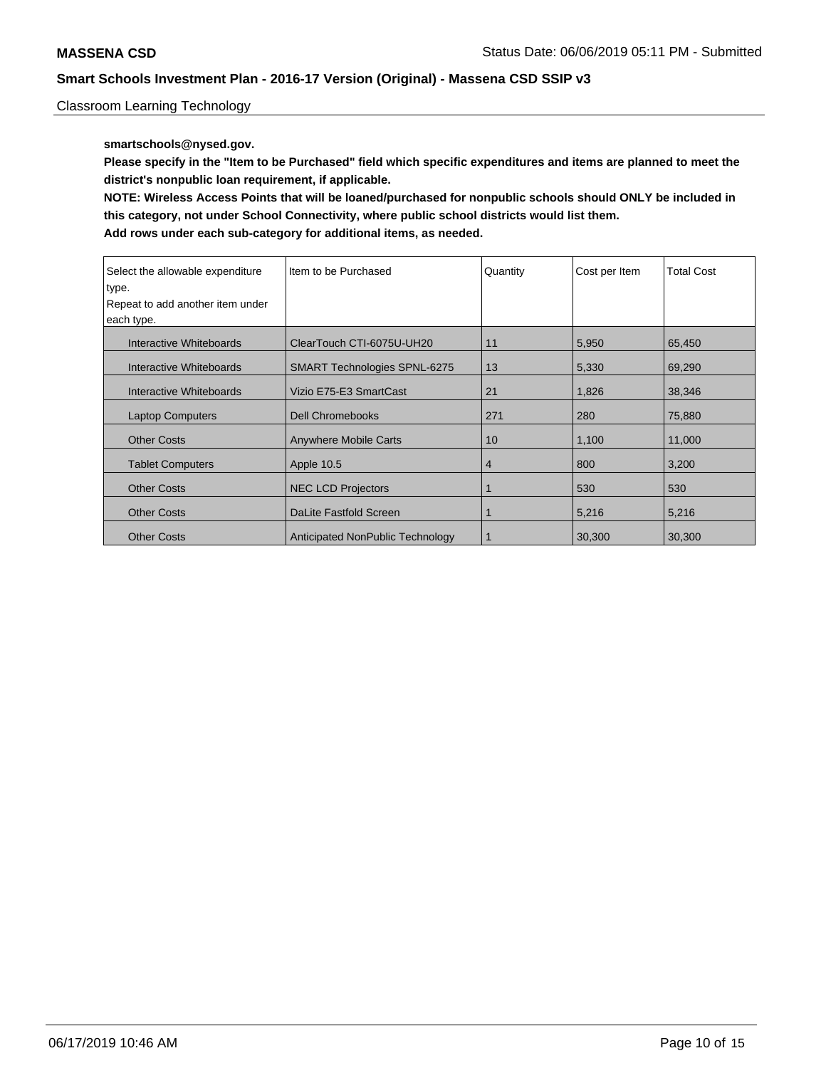Classroom Learning Technology

### **smartschools@nysed.gov.**

**Please specify in the "Item to be Purchased" field which specific expenditures and items are planned to meet the district's nonpublic loan requirement, if applicable.**

**NOTE: Wireless Access Points that will be loaned/purchased for nonpublic schools should ONLY be included in this category, not under School Connectivity, where public school districts would list them.**

| Select the allowable expenditure | Item to be Purchased                | Quantity       | Cost per Item | <b>Total Cost</b> |
|----------------------------------|-------------------------------------|----------------|---------------|-------------------|
| type.                            |                                     |                |               |                   |
| Repeat to add another item under |                                     |                |               |                   |
| each type.                       |                                     |                |               |                   |
| Interactive Whiteboards          | ClearTouch CTI-6075U-UH20           | 11             | 5,950         | 65,450            |
| Interactive Whiteboards          | <b>SMART Technologies SPNL-6275</b> | 13             | 5,330         | 69,290            |
| Interactive Whiteboards          | Vizio E75-E3 SmartCast              | 21             | 1,826         | 38,346            |
| <b>Laptop Computers</b>          | <b>Dell Chromebooks</b>             | 271            | 280           | 75,880            |
| <b>Other Costs</b>               | <b>Anywhere Mobile Carts</b>        | 10             | 1,100         | 11,000            |
| <b>Tablet Computers</b>          | Apple 10.5                          | $\overline{4}$ | 800           | 3,200             |
| <b>Other Costs</b>               | <b>NEC LCD Projectors</b>           |                | 530           | 530               |
| <b>Other Costs</b>               | DaLite Fastfold Screen              |                | 5,216         | 5,216             |
| <b>Other Costs</b>               | Anticipated NonPublic Technology    |                | 30,300        | 30,300            |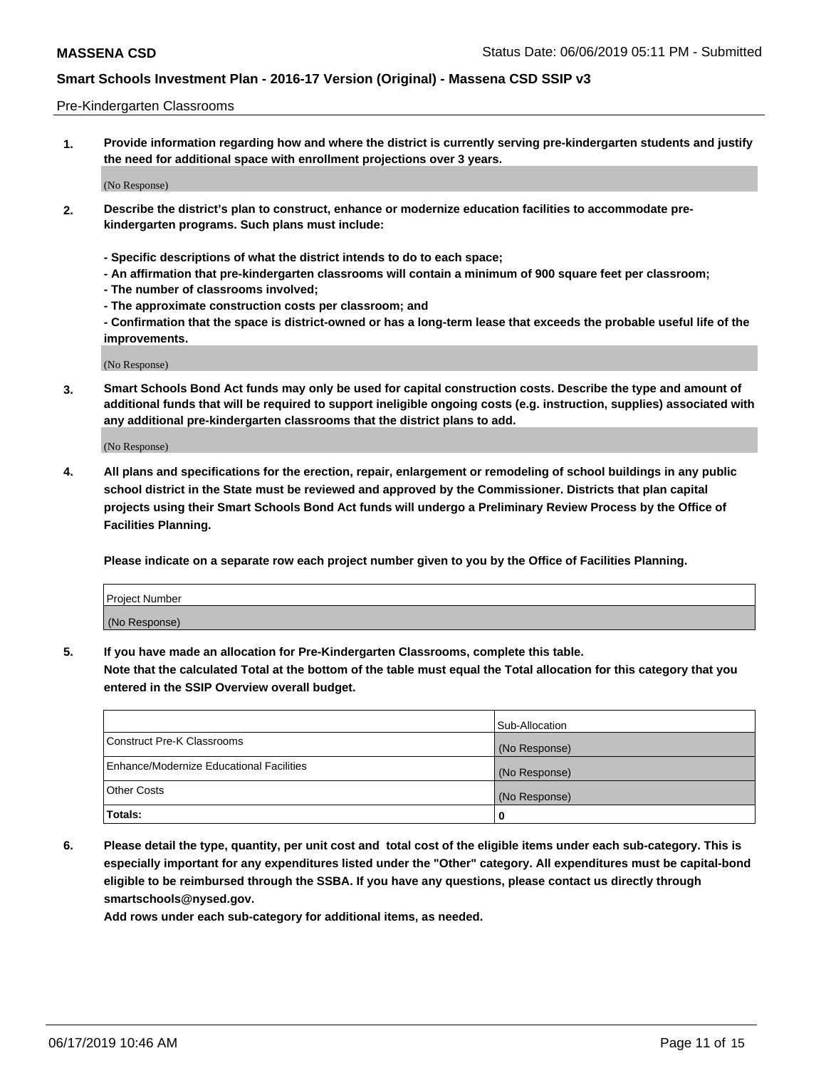#### Pre-Kindergarten Classrooms

**1. Provide information regarding how and where the district is currently serving pre-kindergarten students and justify the need for additional space with enrollment projections over 3 years.**

(No Response)

- **2. Describe the district's plan to construct, enhance or modernize education facilities to accommodate prekindergarten programs. Such plans must include:**
	- **Specific descriptions of what the district intends to do to each space;**
	- **An affirmation that pre-kindergarten classrooms will contain a minimum of 900 square feet per classroom;**
	- **The number of classrooms involved;**
	- **The approximate construction costs per classroom; and**
	- **Confirmation that the space is district-owned or has a long-term lease that exceeds the probable useful life of the improvements.**

(No Response)

**3. Smart Schools Bond Act funds may only be used for capital construction costs. Describe the type and amount of additional funds that will be required to support ineligible ongoing costs (e.g. instruction, supplies) associated with any additional pre-kindergarten classrooms that the district plans to add.**

(No Response)

**4. All plans and specifications for the erection, repair, enlargement or remodeling of school buildings in any public school district in the State must be reviewed and approved by the Commissioner. Districts that plan capital projects using their Smart Schools Bond Act funds will undergo a Preliminary Review Process by the Office of Facilities Planning.**

**Please indicate on a separate row each project number given to you by the Office of Facilities Planning.**

| Project Number |  |
|----------------|--|
| (No Response)  |  |
|                |  |

**5. If you have made an allocation for Pre-Kindergarten Classrooms, complete this table.**

**Note that the calculated Total at the bottom of the table must equal the Total allocation for this category that you entered in the SSIP Overview overall budget.**

|                                          | Sub-Allocation |
|------------------------------------------|----------------|
| Construct Pre-K Classrooms               | (No Response)  |
| Enhance/Modernize Educational Facilities | (No Response)  |
| <b>Other Costs</b>                       | (No Response)  |
| Totals:                                  | 0              |

**6. Please detail the type, quantity, per unit cost and total cost of the eligible items under each sub-category. This is especially important for any expenditures listed under the "Other" category. All expenditures must be capital-bond eligible to be reimbursed through the SSBA. If you have any questions, please contact us directly through smartschools@nysed.gov.**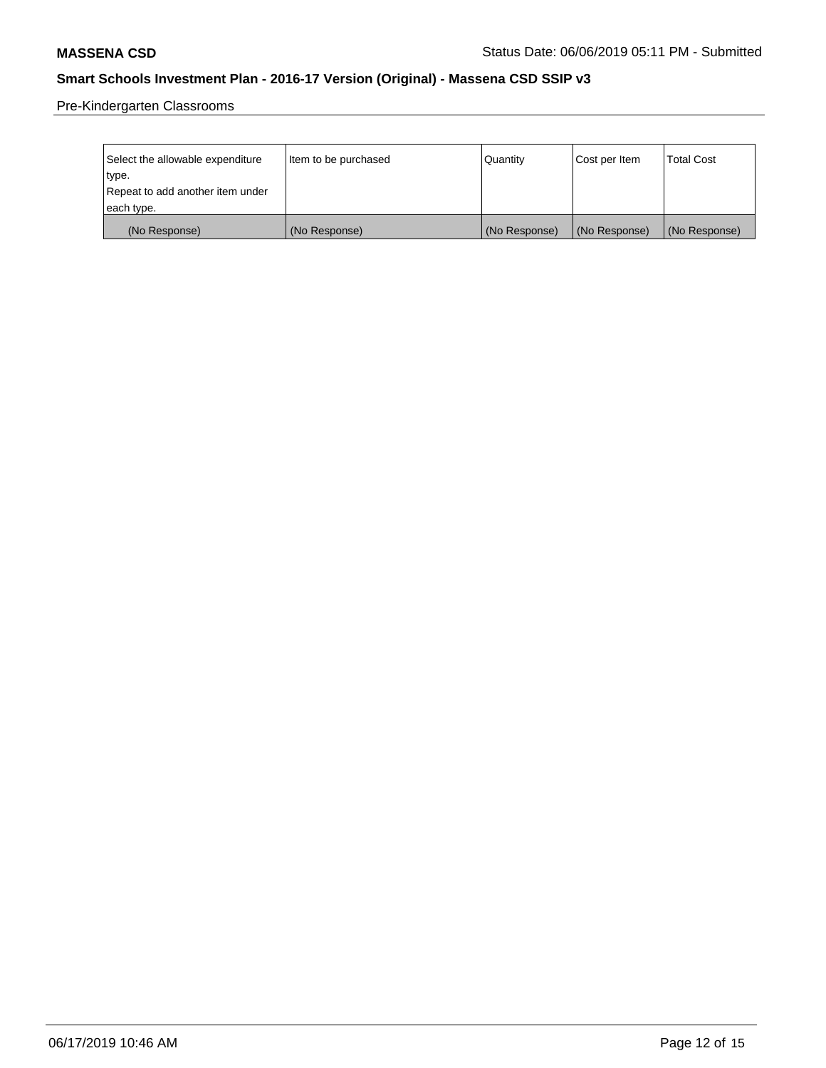Pre-Kindergarten Classrooms

| Select the allowable expenditure | Item to be purchased | Quantity      | Cost per Item | <b>Total Cost</b> |
|----------------------------------|----------------------|---------------|---------------|-------------------|
| type.                            |                      |               |               |                   |
| Repeat to add another item under |                      |               |               |                   |
| each type.                       |                      |               |               |                   |
| (No Response)                    | (No Response)        | (No Response) | (No Response) | (No Response)     |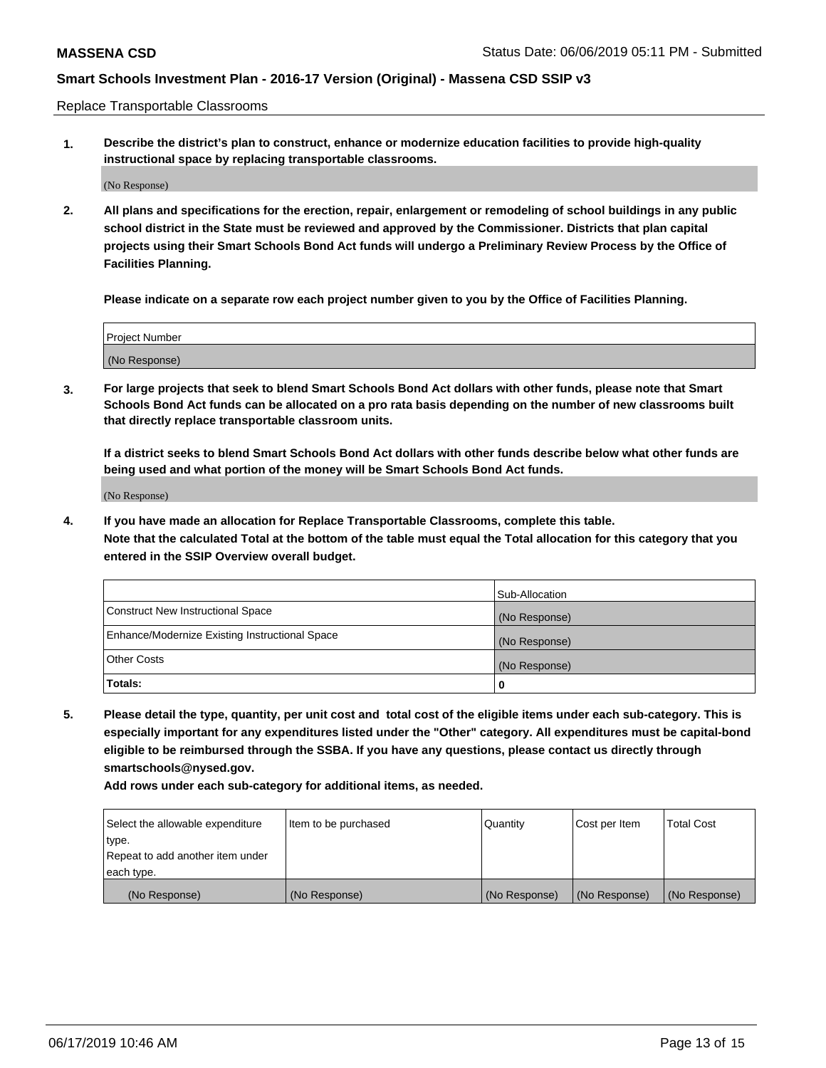Replace Transportable Classrooms

**1. Describe the district's plan to construct, enhance or modernize education facilities to provide high-quality instructional space by replacing transportable classrooms.**

(No Response)

**2. All plans and specifications for the erection, repair, enlargement or remodeling of school buildings in any public school district in the State must be reviewed and approved by the Commissioner. Districts that plan capital projects using their Smart Schools Bond Act funds will undergo a Preliminary Review Process by the Office of Facilities Planning.**

**Please indicate on a separate row each project number given to you by the Office of Facilities Planning.**

| Project Number |  |
|----------------|--|
|                |  |
|                |  |
|                |  |
|                |  |
| (No Response)  |  |
|                |  |
|                |  |
|                |  |

**3. For large projects that seek to blend Smart Schools Bond Act dollars with other funds, please note that Smart Schools Bond Act funds can be allocated on a pro rata basis depending on the number of new classrooms built that directly replace transportable classroom units.**

**If a district seeks to blend Smart Schools Bond Act dollars with other funds describe below what other funds are being used and what portion of the money will be Smart Schools Bond Act funds.**

(No Response)

**4. If you have made an allocation for Replace Transportable Classrooms, complete this table. Note that the calculated Total at the bottom of the table must equal the Total allocation for this category that you entered in the SSIP Overview overall budget.**

|                                                | Sub-Allocation |
|------------------------------------------------|----------------|
| Construct New Instructional Space              | (No Response)  |
| Enhance/Modernize Existing Instructional Space | (No Response)  |
| <b>Other Costs</b>                             | (No Response)  |
| Totals:                                        | 0              |

**5. Please detail the type, quantity, per unit cost and total cost of the eligible items under each sub-category. This is especially important for any expenditures listed under the "Other" category. All expenditures must be capital-bond eligible to be reimbursed through the SSBA. If you have any questions, please contact us directly through smartschools@nysed.gov.**

| Select the allowable expenditure | Item to be purchased | l Quantitv    | Cost per Item | <b>Total Cost</b> |
|----------------------------------|----------------------|---------------|---------------|-------------------|
| type.                            |                      |               |               |                   |
| Repeat to add another item under |                      |               |               |                   |
| each type.                       |                      |               |               |                   |
| (No Response)                    | (No Response)        | (No Response) | (No Response) | (No Response)     |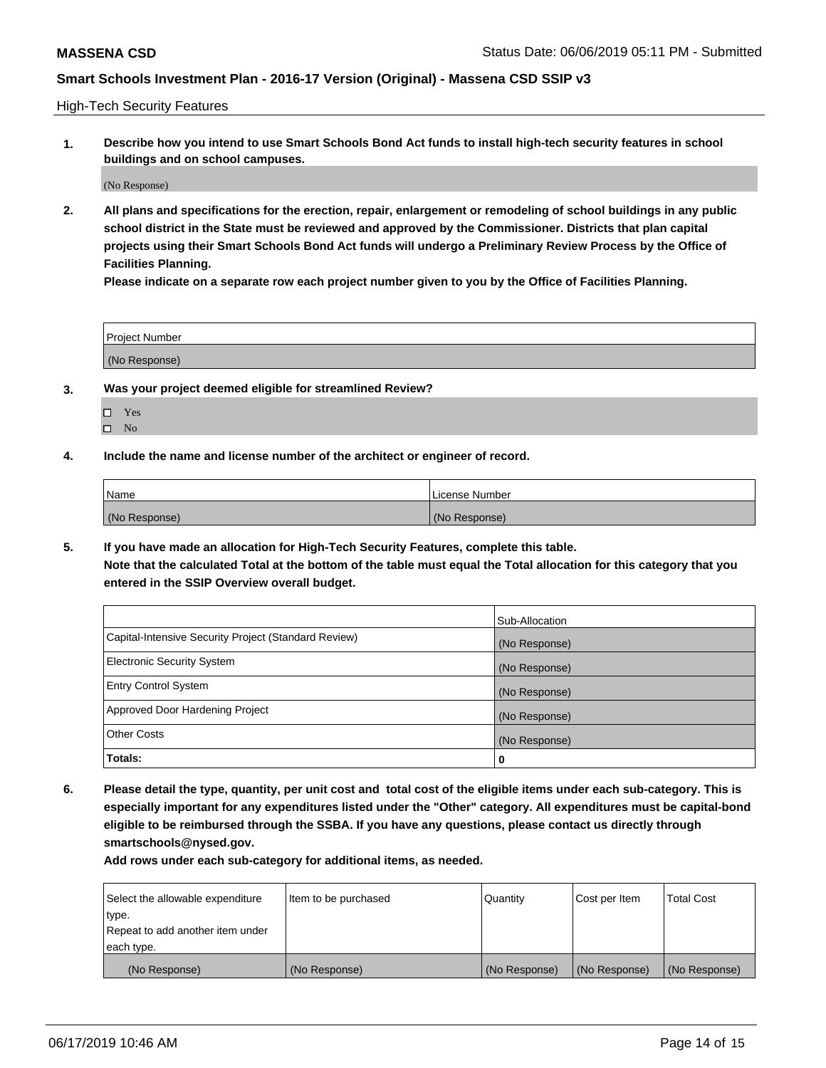High-Tech Security Features

**1. Describe how you intend to use Smart Schools Bond Act funds to install high-tech security features in school buildings and on school campuses.**

(No Response)

**2. All plans and specifications for the erection, repair, enlargement or remodeling of school buildings in any public school district in the State must be reviewed and approved by the Commissioner. Districts that plan capital projects using their Smart Schools Bond Act funds will undergo a Preliminary Review Process by the Office of Facilities Planning.** 

**Please indicate on a separate row each project number given to you by the Office of Facilities Planning.**

| <b>Project Number</b> |  |
|-----------------------|--|
| (No Response)         |  |

- **3. Was your project deemed eligible for streamlined Review?**
	- Yes
	- $\square$  No
- **4. Include the name and license number of the architect or engineer of record.**

| <b>Name</b>   | License Number |
|---------------|----------------|
| (No Response) | (No Response)  |

**5. If you have made an allocation for High-Tech Security Features, complete this table.**

**Note that the calculated Total at the bottom of the table must equal the Total allocation for this category that you entered in the SSIP Overview overall budget.**

|                                                      | Sub-Allocation |
|------------------------------------------------------|----------------|
| Capital-Intensive Security Project (Standard Review) | (No Response)  |
| <b>Electronic Security System</b>                    | (No Response)  |
| <b>Entry Control System</b>                          | (No Response)  |
| Approved Door Hardening Project                      | (No Response)  |
| <b>Other Costs</b>                                   | (No Response)  |
| Totals:                                              | 0              |

**6. Please detail the type, quantity, per unit cost and total cost of the eligible items under each sub-category. This is especially important for any expenditures listed under the "Other" category. All expenditures must be capital-bond eligible to be reimbursed through the SSBA. If you have any questions, please contact us directly through smartschools@nysed.gov.**

| Select the allowable expenditure | Item to be purchased | Quantity      | Cost per Item | <b>Total Cost</b> |
|----------------------------------|----------------------|---------------|---------------|-------------------|
| type.                            |                      |               |               |                   |
| Repeat to add another item under |                      |               |               |                   |
| each type.                       |                      |               |               |                   |
| (No Response)                    | (No Response)        | (No Response) | (No Response) | (No Response)     |